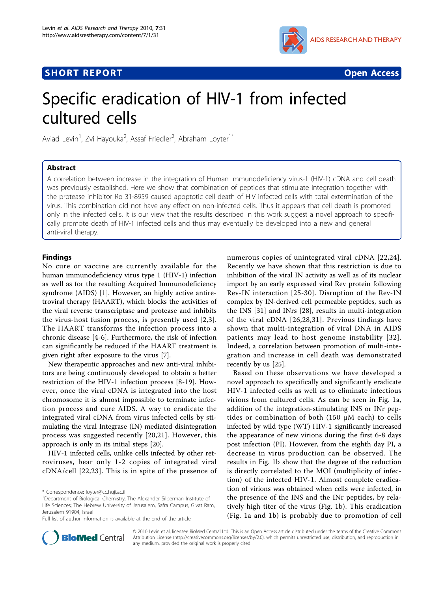# **SHORT REPORT SHORT CONSUMING THE SHORT CONSUMING THE SHORT CONSUMING THE SHORT CONSUMING THE SHORT CONSUMING THE SHORT CONSUMING THE SHORT CONSUMING THE SHORT CONSUMING THE SHORT CONSUMING THE SHORT CONSUMING THE SHORT**



# Specific eradication of HIV-1 from infected cultured cells

Aviad Levin<sup>1</sup>, Zvi Hayouka<sup>2</sup>, Assaf Friedler<sup>2</sup>, Abraham Loyter<sup>1\*</sup>

## Abstract

A correlation between increase in the integration of Human Immunodeficiency virus-1 (HIV-1) cDNA and cell death was previously established. Here we show that combination of peptides that stimulate integration together with the protease inhibitor Ro 31-8959 caused apoptotic cell death of HIV infected cells with total extermination of the virus. This combination did not have any effect on non-infected cells. Thus it appears that cell death is promoted only in the infected cells. It is our view that the results described in this work suggest a novel approach to specifically promote death of HIV-1 infected cells and thus may eventually be developed into a new and general anti-viral therapy.

### Findings

No cure or vaccine are currently available for the human immunodeficiency virus type 1 (HIV-1) infection as well as for the resulting Acquired Immunodeficiency syndrome (AIDS) [[1\]](#page-3-0). However, an highly active antiretroviral therapy (HAART), which blocks the activities of the viral reverse transcriptase and protease and inhibits the virus-host fusion process, is presently used [[2](#page-3-0),[3\]](#page-4-0). The HAART transforms the infection process into a chronic disease [[4-6\]](#page-4-0). Furthermore, the risk of infection can significantly be reduced if the HAART treatment is given right after exposure to the virus [\[7\]](#page-4-0).

New therapeutic approaches and new anti-viral inhibitors are being continuously developed to obtain a better restriction of the HIV-1 infection process [\[8-19](#page-4-0)]. However, once the viral cDNA is integrated into the host chromosome it is almost impossible to terminate infection process and cure AIDS. A way to eradicate the integrated viral cDNA from virus infected cells by stimulating the viral Integrase (IN) mediated disintegration process was suggested recently [\[20,21](#page-4-0)]. However, this approach is only in its initial steps [[20](#page-4-0)].

HIV-1 infected cells, unlike cells infected by other retroviruses, bear only 1-2 copies of integrated viral cDNA/cell [[22,23\]](#page-4-0). This is in spite of the presence of



Based on these observations we have developed a novel approach to specifically and significantly eradicate HIV-1 infected cells as well as to eliminate infectious virions from cultured cells. As can be seen in Fig. [1a](#page-1-0), addition of the integration-stimulating INS or INr peptides or combination of both (150 μM each) to cells infected by wild type (WT) HIV-1 significantly increased the appearance of new virions during the first 6-8 days post infection (PI). However, from the eighth day PI, a decrease in virus production can be observed. The results in Fig. [1b](#page-1-0) show that the degree of the reduction is directly correlated to the MOI (multiplicity of infection) of the infected HIV-1. Almost complete eradication of virions was obtained when cells were infected, in the presence of the INS and the INr peptides, by relatively high titer of the virus (Fig. [1b\)](#page-1-0). This eradication (Fig. [1a](#page-1-0) and [1b](#page-1-0)) is probably due to promotion of cell



© 2010 Levin et al; licensee BioMed Central Ltd. This is an Open Access article distributed under the terms of the Creative Commons Attribution License [\(http://creativecommons.org/licenses/by/2.0](http://creativecommons.org/licenses/by/2.0)), which permits unrestricted use, distribution, and reproduction in any medium, provided the original work is properly cited.

<sup>\*</sup> Correspondence: [loyter@cc.huji.ac.il](mailto:loyter@cc.huji.ac.il)

<sup>&</sup>lt;sup>1</sup>Department of Biological Chemistry, The Alexander Silberman Institute of Life Sciences; The Hebrew University of Jerusalem, Safra Campus, Givat Ram, Jerusalem 91904, Israel

Full list of author information is available at the end of the article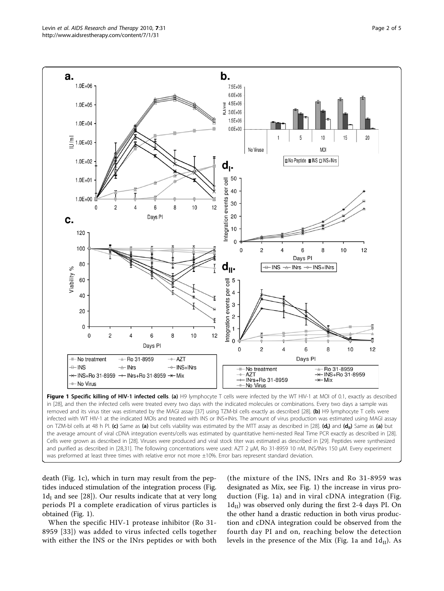<span id="page-1-0"></span>

on TZM-bl cells at 48 h PI. (c) Same as (a) but cells viability was estimated by the MTT assay as described in [[28](#page-4-0)]. (d<sub>i</sub>) and (d<sub>ii</sub>) Same as (a) but the average amount of viral cDNA integration events/cells was estimated by quantitative hemi-nested Real Time PCR exactly as described in [\[28\]](#page-4-0). Cells were grown as described in [\[28\]](#page-4-0). Viruses were produced and viral stock titer was estimated as described in [\[29\]](#page-4-0). Peptides were synthesized and purified as described in [[28](#page-4-0),[31](#page-4-0)]. The following concentrations were used: AZT 2 μM, Ro 31-8959 10 nM, INS/INrs 150 μM. Every experiment was preformed at least three times with relative error not more ±10%. Error bars represent standard deviation.

death (Fig. 1c), which in turn may result from the peptides induced stimulation of the integration process (Fig.  $1d<sub>I</sub>$  and see [\[28](#page-4-0)]). Our results indicate that at very long periods PI a complete eradication of virus particles is obtained (Fig. 1).

When the specific HIV-1 protease inhibitor (Ro 31- 8959 [[33](#page-4-0)]) was added to virus infected cells together with either the INS or the INrs peptides or with both

(the mixture of the INS, INrs and Ro 31-8959 was designated as Mix, see Fig. 1) the increase in virus production (Fig. 1a) and in viral cDNA integration (Fig.  $1d_{II}$ ) was observed only during the first 2-4 days PI. On the other hand a drastic reduction in both virus production and cDNA integration could be observed from the fourth day PI and on, reaching below the detection levels in the presence of the Mix (Fig. 1a and  $1d_{II}$ ). As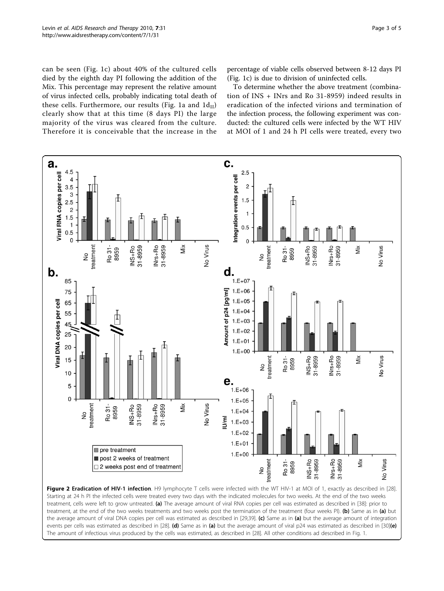<span id="page-2-0"></span>can be seen (Fig. [1c\)](#page-1-0) about 40% of the cultured cells died by the eighth day PI following the addition of the Mix. This percentage may represent the relative amount of virus infected cells, probably indicating total death of these cells. Furthermore, our results (Fig. [1a](#page-1-0) and  $1d_{II}$ ) clearly show that at this time (8 days PI) the large majority of the virus was cleared from the culture. Therefore it is conceivable that the increase in the percentage of viable cells observed between 8-12 days PI (Fig. [1c\)](#page-1-0) is due to division of uninfected cells.

To determine whether the above treatment (combination of INS + INrs and Ro 31-8959) indeed results in eradication of the infected virions and termination of the infection process, the following experiment was conducted: the cultured cells were infected by the WT HIV at MOI of 1 and 24 h PI cells were treated, every two



Figure 2 Eradication of HIV-1 infection. H9 lymphocyte T cells were infected with the WT HIV-1 at MOI of 1, exactly as described in [[28\]](#page-4-0) Starting at 24 h PI the infected cells were treated every two days with the indicated molecules for two weeks. At the end of the two weeks treatment, cells were left to grow untreated. (a) The average amount of viral RNA copies per cell was estimated as described in [[38](#page-4-0)]: prior to treatment, at the end of the two weeks treatments and two weeks post the termination of the treatment (four weeks PI). (b) Same as in (a) but the average amount of viral DNA copies per cell was estimated as described in [\[29,39\]](#page-4-0). (c) Same as in (a) but the average amount of integration events per cells was estimated as described in [\[28\]](#page-4-0). (d) Same as in (a) but the average amount of viral p24 was estimated as described in [\[30\]](#page-4-0)(e) The amount of infectious virus produced by the cells was estimated, as described in [[28](#page-4-0)]. All other conditions ad described in Fig. 1.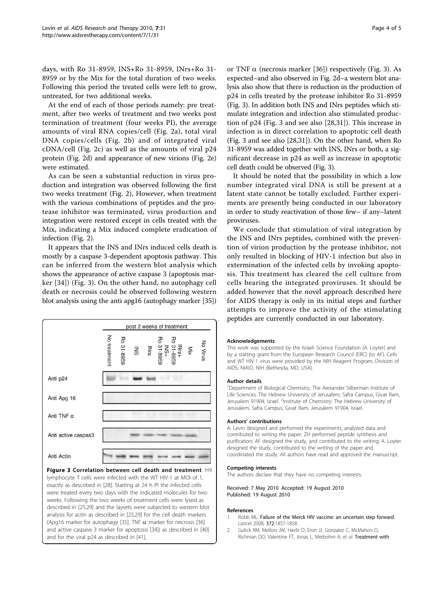<span id="page-3-0"></span>days, with Ro 31-8959, INS+Ro 31-8959, INrs+Ro 31- 8959 or by the Mix for the total duration of two weeks. Following this period the treated cells were left to grow, untreated, for two additional weeks.

At the end of each of those periods namely: pre treatment, after two weeks of treatment and two weeks post termination of treatment (four weeks PI), the average amounts of viral RNA copies/cell (Fig. [2a\)](#page-2-0), total viral DNA copies/cells (Fig. [2b](#page-2-0)) and of integrated viral cDNA/cell (Fig. [2c\)](#page-2-0) as well as the amounts of viral p24 protein (Fig. [2d\)](#page-2-0) and appearance of new virions (Fig. [2e](#page-2-0)) were estimated.

As can be seen a substantial reduction in virus production and integration was observed following the first two weeks treatment (Fig. [2](#page-2-0)), However, when treatment with the various combinations of peptides and the protease inhibitor was terminated, virus production and integration were restored except in cells treated with the Mix, indicating a Mix induced complete eradication of infection (Fig. [2](#page-2-0)).

It appears that the INS and INrs induced cells death is mostly by a caspase 3-dependent apoptosis pathway. This can be inferred from the western blot analysis which shows the appearance of active caspase 3 (apoptosis marker [\[34\]](#page-4-0)) (Fig. 3). On the other hand, no autophagy cell death or necrosis could be observed following western blot analysis using the anti apg16 (autophagy marker [[35](#page-4-0)])



Figure 3 Correlation between cell death and treatment. H9 lymphocyte T cells were infected with the WT HIV-1 at MOI of 1, exactly as described in [[28](#page-4-0)]. Starting at 24 h PI the infected cells were treated every two days with the indicated molecules for two weeks. Following the two weeks of treatment cells were lysed as described in [\[25,29\]](#page-4-0) and the laysets were subjected to western blot analysis for actin as described in [[25,29\]](#page-4-0) for the cell death markers (Apg16 marker for autophagy [\[35\]](#page-4-0), TNF  $\alpha$  marker for necrosis [\[36\]](#page-4-0) and active caspase 3 marker for apoptosis [\[34\]](#page-4-0)) as described in [[40\]](#page-4-0) and for the viral p24 as described in [\[41\]](#page-4-0).

or TNF  $\alpha$  (necrosis marker [\[36](#page-4-0)]) respectively (Fig. 3). As expected–and also observed in Fig. [2d](#page-2-0)–a western blot analysis also show that there is reduction in the production of p24 in cells treated by the protease inhibitor Ro 31-8959 (Fig. 3). In addition both INS and INrs peptides which stimulate integration and infection also stimulated production of p24 (Fig. 3 and see also [[28,31\]](#page-4-0)). This increase in infection is in direct correlation to apoptotic cell death (Fig. 3 and see also [\[28,31\]](#page-4-0)). On the other hand, when Ro 31-8959 was added together with INS, INrs or both, a significant decrease in p24 as well as increase in apoptotic cell death could be observed (Fig. 3).

It should be noted that the possibility in which a low number integrated viral DNA is still be present at a latent state cannot be totally excluded. Further experiments are presently being conducted in our laboratory in order to study reactivation of those few– if any–latent proviruses.

We conclude that stimulation of viral integration by the INS and INrs peptides, combined with the prevention of virion production by the protease inhibitor, not only resulted in blocking of HIV-1 infection but also in extermination of the infected cells by invoking apoptosis. This treatment has cleared the cell culture from cells bearing the integrated proviruses. It should be added however that the novel approach described here for AIDS therapy is only in its initial steps and further attempts to improve the activity of the stimulating peptides are currently conducted in our laboratory.

#### Acknowledgements

This work was supported by the Israeli Science Foundation (A. Loyter) and by a starting grant from the European Research Council (ERC) (to AF). Cells and WT HIV-1 virus were provided by the NIH Reagent Program, Division of AIDS, NIAID, NIH (Bethesda, MD, USA).

#### Author details

<sup>1</sup>Department of Biological Chemistry, The Alexander Silberman Institute of Life Sciences; The Hebrew University of Jerusalem, Safra Campus, Givat Ram, Jerusalem 91904, Israel. <sup>2</sup>Institute of Chemistry; The Hebrew University of Jerusalem, Safra Campus, Givat Ram, Jerusalem 91904, Israel.

#### Authors' contributions

A. Levin designed and performed the experiments, analyzed data and contributed to writing the paper; ZH performed peptide synthesis and purification; AF designed the study, and contributed to the writing; A. Loyter designed the study, contributed to the writing of the paper and coordinated the study. All authors have read and approved the manuscript.

#### Competing interests

The authors declare that they have no competing interests.

Received: 7 May 2010 Accepted: 19 August 2010 Published: 19 August 2010

#### References

- 1. Robb ML: [Failure of the Merck HIV vaccine: an uncertain step forward.](http://www.ncbi.nlm.nih.gov/pubmed/19012958?dopt=Abstract) Lancet 2008, 372:1857-1858.
- 2. Gulick RM, Mellors JW, Havlir D, Eron JJ, Gonzalez C, McMahon D, Richman DD, Valentine FT, Jonas L, Meibohm A, et al: [Treatment with](http://www.ncbi.nlm.nih.gov/pubmed/9287228?dopt=Abstract)